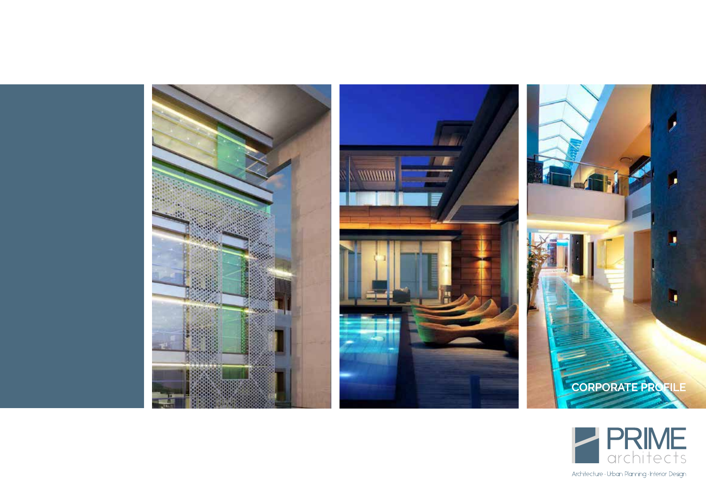

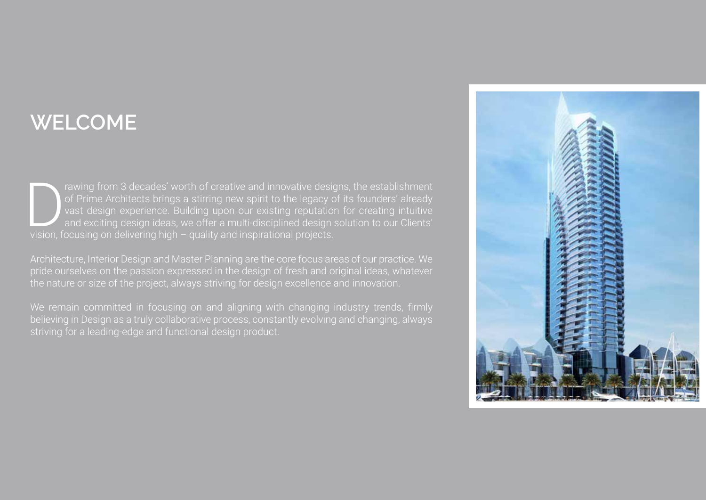## **WELCOME**

rawing from 3 decades' worth of creative and innovative designs, the establishment<br>of Prime Architects brings a stirring new spirit to the legacy of its founders' already<br>vast design experience. Building upon our existing of Prime Architects brings a stirring new spirit to the legacy of its founders' already vast design experience. Building upon our existing reputation for creating intuitive and exciting design ideas, we offer a multi-disciplined design solution to our Clients' vision, focusing on delivering high – quality and inspirational projects.

Architecture, Interior Design and Master Planning are the core focus areas of our practice. We pride ourselves on the passion expressed in the design of fresh and original ideas, whatever the nature or size of the project, always striving for design excellence and innovation.

We remain committed in focusing on and aligning with changing industry trends, firmly believing in Design as a truly collaborative process, constantly evolving and changing, always striving for a leading-edge and functional design product.

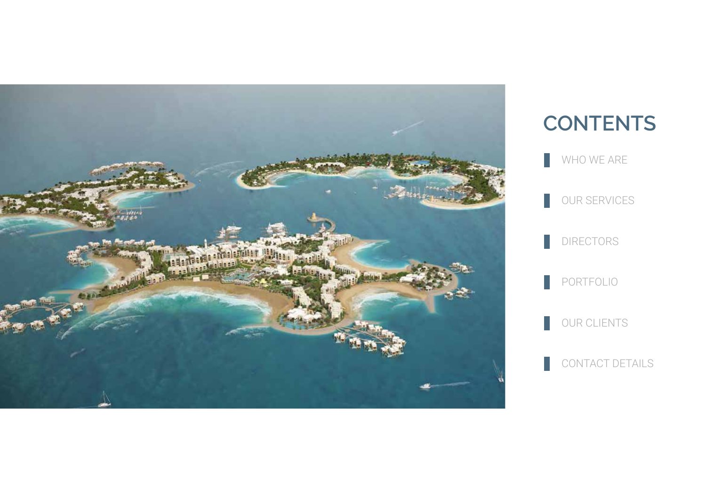

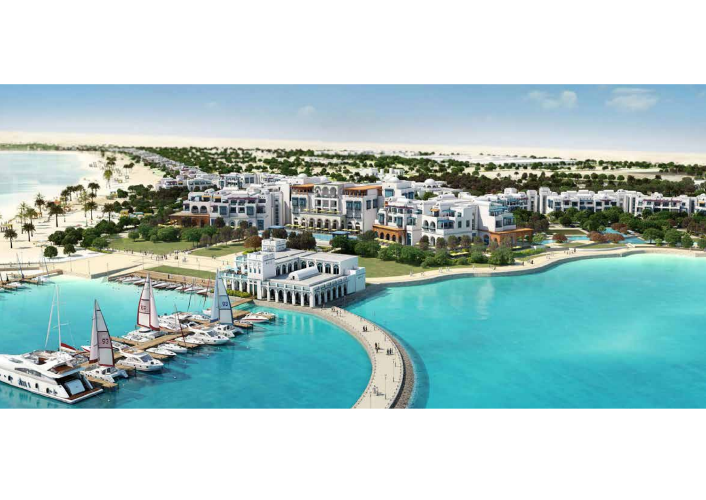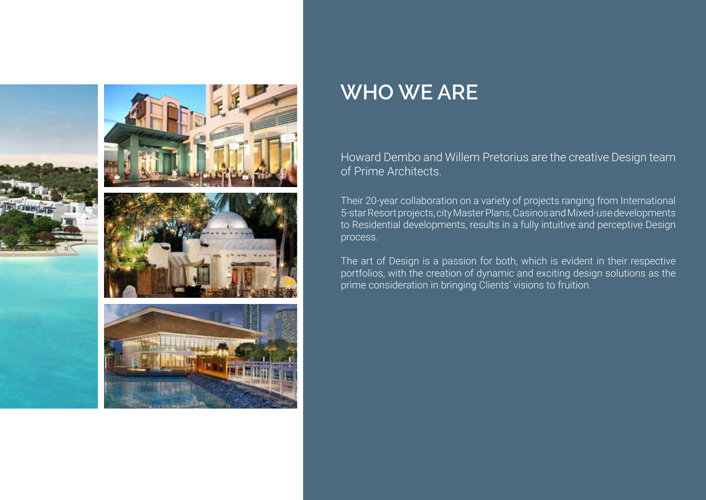

# **WHO WE ARE**

Howard Dembo and Willem Pretorius are the creative Design team of Prime Architects.

Their 20-year collaboration on a variety of projects ranging from International 5-star Resort projects, city Master Plans, Casinos and Mixed-use developments to Residential developments, results in a fully intuitive and perceptive Design process.

The art of Design is a passion for both, which is evident in their respective portfolios, with the creation of dynamic and exciting design solutions as the prime consideration in bringing Clients' visions to fruition.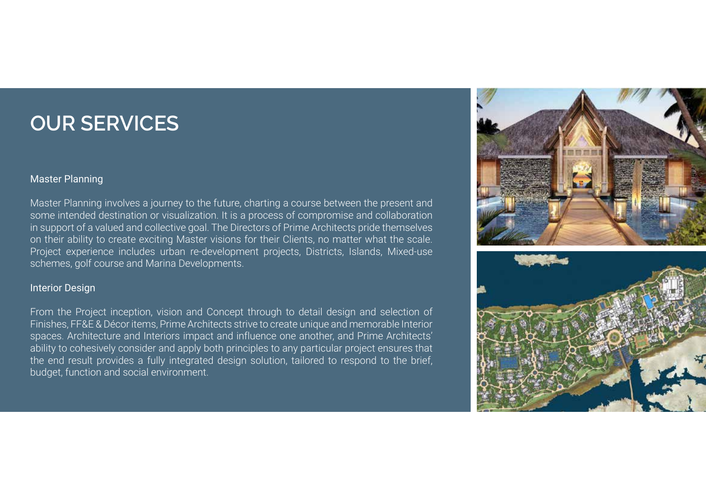## **OUR SERVICES**

#### Master Planning

Master Planning involves a journey to the future, charting a course between the present and some intended destination or visualization. It is a process of compromise and collaboration in support of a valued and collective goal. The Directors of Prime Architects pride themselves on their ability to create exciting Master visions for their Clients, no matter what the scale. Project experience includes urban re-development projects, Districts, Islands, Mixed-use schemes, golf course and Marina Developments.

#### Interior Design

From the Project inception, vision and Concept through to detail design and selection of Finishes, FF&E & Décor items, Prime Architects strive to create unique and memorable Interior spaces. Architecture and Interiors impact and influence one another, and Prime Architects' ability to cohesively consider and apply both principles to any particular project ensures that the end result provides a fully integrated design solution, tailored to respond to the brief, budget, function and social environment.

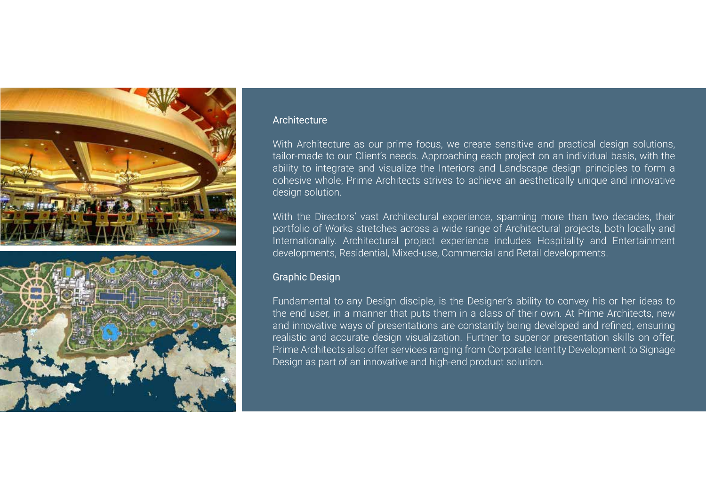

#### **Architecture**

With Architecture as our prime focus, we create sensitive and practical design solutions, tailor-made to our Client's needs. Approaching each project on an individual basis, with the ability to integrate and visualize the Interiors and Landscape design principles to form a cohesive whole, Prime Architects strives to achieve an aesthetically unique and innovative design solution.

With the Directors' vast Architectural experience, spanning more than two decades, their portfolio of Works stretches across a wide range of Architectural projects, both locally and Internationally. Architectural project experience includes Hospitality and Entertainment developments, Residential, Mixed-use, Commercial and Retail developments.

#### Graphic Design

Fundamental to any Design disciple, is the Designer's ability to convey his or her ideas to the end user, in a manner that puts them in a class of their own. At Prime Architects, new and innovative ways of presentations are constantly being developed and refined, ensuring realistic and accurate design visualization. Further to superior presentation skills on offer, Prime Architects also offer services ranging from Corporate Identity Development to Signage Design as part of an innovative and high-end product solution.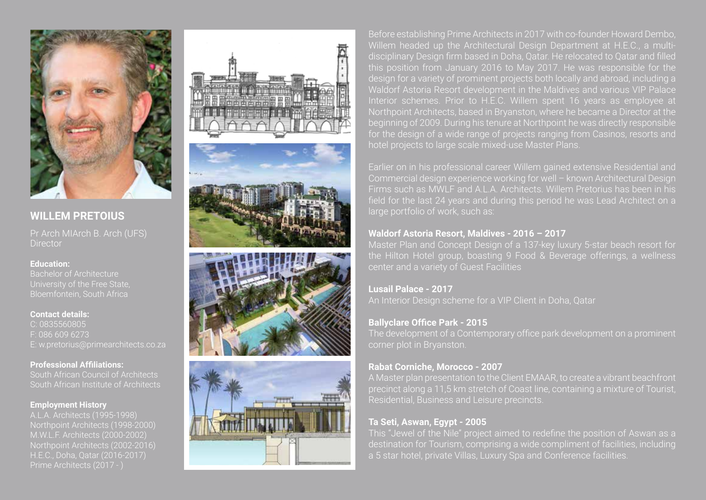### **WILLEM PRETOIUS**

Pr Arch MIArch B. Arch (UFS) **Director** 

#### **Education:**

Bachelor of Architecture University of the Free State, Bloemfontein, South Africa

#### **Contact details:**

C: 0835560805 F: 086 609 6273 E: w.pretorius@primearchitects.co.za

#### **Professional Affiliations:**

South African Council of Architects South African Institute of Architects

#### **Employment History**

A.L.A. Architects (1995-1998) Northpoint Architects (1998-2000) M.W.L.F. Architects (2000-2002) Northpoint Architects (2002-2016) H.E.C., Doha, Qatar (2016-2017) Prime Architects (2017 - )







Before establishing Prime Architects in 2017 with co-founder Howard Dembo, Willem headed up the Architectural Design Department at H.E.C., a multidisciplinary Design firm based in Doha, Qatar. He relocated to Qatar and filled this position from January 2016 to May 2017. He was responsible for the design for a variety of prominent projects both locally and abroad, including a Waldorf Astoria Resort development in the Maldives and various VIP Palace Interior schemes. Prior to H.E.C. Willem spent 16 years as employee at Northpoint Architects, based in Bryanston, where he became a Director at the beginning of 2009. During his tenure at Northpoint he was directly responsible for the design of a wide range of projects ranging from Casinos, resorts and hotel projects to large scale mixed-use Master Plans.

Earlier on in his professional career Willem gained extensive Residential and Commercial design experience working for well – known Architectural Design Firms such as MWLF and A.L.A. Architects. Willem Pretorius has been in his field for the last 24 years and during this period he was Lead Architect on a large portfolio of work, such as:

#### **Waldorf Astoria Resort, Maldives - 2016 – 2017**

Master Plan and Concept Design of a 137-key luxury 5-star beach resort for the Hilton Hotel group, boasting 9 Food & Beverage offerings, a wellness center and a variety of Guest Facilities

#### **Lusail Palace - 2017**

An Interior Design scheme for a VIP Client in Doha, Qatar

#### **Ballyclare Office Park - 2015**

The development of a Contemporary office park development on a prominent

#### **Rabat Corniche, Morocco - 2007**

A Master plan presentation to the Client EMAAR, to create a vibrant beachfront precinct along a 11,5 km stretch of Coast line, containing a mixture of Tourist, Residential, Business and Leisure precincts.

#### **Ta Seti, Aswan, Egypt - 2005**

This "Jewel of the Nile" project aimed to redefine the position of Aswan as a destination for Tourism, comprising a wide compliment of facilities, including a 5 star hotel, private Villas, Luxury Spa and Conference facilities.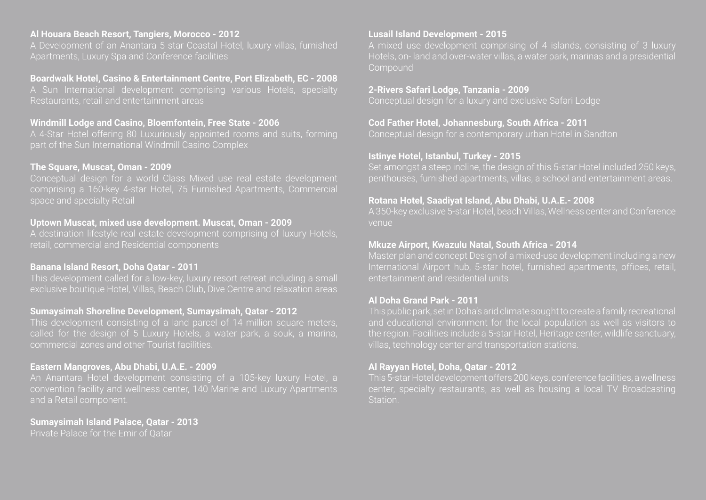#### **Al Houara Beach Resort, Tangiers, Morocco - 2012**

Apartments, Luxury Spa and Conference facilities

#### **Boardwalk Hotel, Casino & Entertainment Centre, Port Elizabeth, EC - 2008**

A Sun International development comprising various Hotels, specialty Restaurants, retail and entertainment areas

#### **Windmill Lodge and Casino, Bloemfontein, Free State - 2006**

A 4-Star Hotel offering 80 Luxuriously appointed rooms and suits, forming part of the Sun International Windmill Casino Complex

#### **The Square, Muscat, Oman - 2009**

Conceptual design for a world Class Mixed use real estate development comprising a 160-key 4-star Hotel, 75 Furnished Apartments, Commercial space and specialty Retail

#### **Uptown Muscat, mixed use development. Muscat, Oman - 2009**

A destination lifestyle real estate development comprising of luxury Hotels,

#### **Banana Island Resort, Doha Qatar - 2011**

This development called for a low-key, luxury resort retreat including a small exclusive boutique Hotel, Villas, Beach Club, Dive Centre and relaxation areas

#### **Sumaysimah Shoreline Development, Sumaysimah, Qatar - 2012**

called for the design of 5 Luxury Hotels, a water park, a souk, a marina, commercial zones and other Tourist facilities.

#### **Eastern Mangroves, Abu Dhabi, U.A.E. - 2009**

An Anantara Hotel development consisting of a 105-key luxury Hotel, a and a Retail component.

#### **Sumaysimah Island Palace, Qatar - 2013** Private Palace for the Emir of Qatar

#### **Lusail Island Development - 2015**

A mixed use development comprising of 4 islands, consisting of 3 luxury Hotels, on- land and over-water villas, a water park, marinas and a presidential **Compound** 

#### **2-Rivers Safari Lodge, Tanzania - 2009**

Conceptual design for a luxury and exclusive Safari Lodge

#### **Cod Father Hotel, Johannesburg, South Africa - 2011**

Conceptual design for a contemporary urban Hotel in Sandton

#### **Istinye Hotel, Istanbul, Turkey - 2015**

Set amongst a steep incline, the design of this 5-star Hotel included 250 keys, penthouses, furnished apartments, villas, a school and entertainment areas.

#### **Rotana Hotel, Saadiyat Island, Abu Dhabi, U.A.E.- 2008**

A 350-key exclusive 5-star Hotel, beach Villas, Wellness center and Conference venue

#### **Mkuze Airport, Kwazulu Natal, South Africa - 2014**

Master plan and concept Design of a mixed-use development including a new International Airport hub, 5-star hotel, furnished apartments, offices, retail, entertainment and residential units

#### **Al Doha Grand Park - 2011**

This public park, set in Doha's arid climate sought to create a family recreational the region. Facilities include a 5-star Hotel, Heritage center, wildlife sanctuary, villas, technology center and transportation stations.

#### **Al Rayyan Hotel, Doha, Qatar - 2012**

This 5-star Hotel development offers 200 keys, conference facilities, a wellness center, specialty restaurants, as well as housing a local TV Broadcasting Station.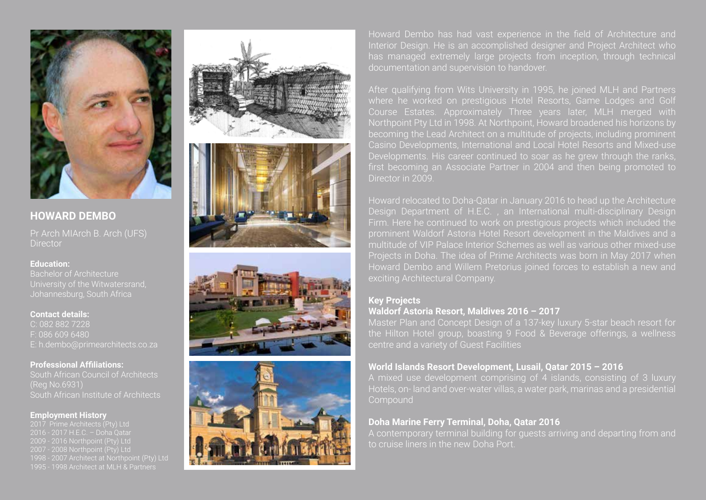### **HOWARD DEMBO**

Pr Arch MIArch B. Arch (UFS) **Director** 

#### **Education:**

Bachelor of Architecture University of the Witwatersrand, Johannesburg, South Africa

#### **Contact details:**

C: 082 882 7228 F: 086 609 6480 E: h.dembo@primearchitects.co.za

**Professional Affiliations:** South African Council of Architects (Reg No.6931) South African Institute of Architects

#### **Employment History**

2017 Prime Architects (Pty) Ltd 2009 - 2016 Northpoint (Pty) Ltd







Howard Dembo has had vast experience in the field of Architecture and Interior Design. He is an accomplished designer and Project Architect who has managed extremely large projects from inception, through technical documentation and supervision to handover.

After qualifying from Wits University in 1995, he joined MLH and Partners where he worked on prestigious Hotel Resorts, Game Lodges and Golf Course Estates. Approximately Three years later, MLH merged with Northpoint Pty Ltd in 1998. At Northpoint, Howard broadened his horizons by becoming the Lead Architect on a multitude of projects, including prominent Casino Developments, International and Local Hotel Resorts and Mixed-use Developments. His career continued to soar as he grew through the ranks, first becoming an Associate Partner in 2004 and then being promoted to Director in 2009.

Howard relocated to Doha-Qatar in January 2016 to head up the Architecture Design Department of H.E.C. , an International multi-disciplinary Design Firm. Here he continued to work on prestigious projects which included the prominent Waldorf Astoria Hotel Resort development in the Maldives and a multitude of VIP Palace Interior Schemes as well as various other mixed-use Projects in Doha. The idea of Prime Architects was born in May 2017 when Howard Dembo and Willem Pretorius joined forces to establish a new and exciting Architectural Company.

#### **Key Projects**

#### **Waldorf Astoria Resort, Maldives 2016 – 2017**

Master Plan and Concept Design of a 137-key luxury 5-star beach resort for the Hilton Hotel group, boasting 9 Food & Beverage offerings, a wellness centre and a variety of Guest Facilities

#### **World Islands Resort Development, Lusail, Qatar 2015 – 2016**

A mixed use development comprising of 4 islands, consisting of 3 luxury Hotels, on- land and over-water villas, a water park, marinas and a presidential **Compound** 

#### **Doha Marine Ferry Terminal, Doha, Qatar 2016**

A contemporary terminal building for guests arriving and departing from and to cruise liners in the new Doha Port.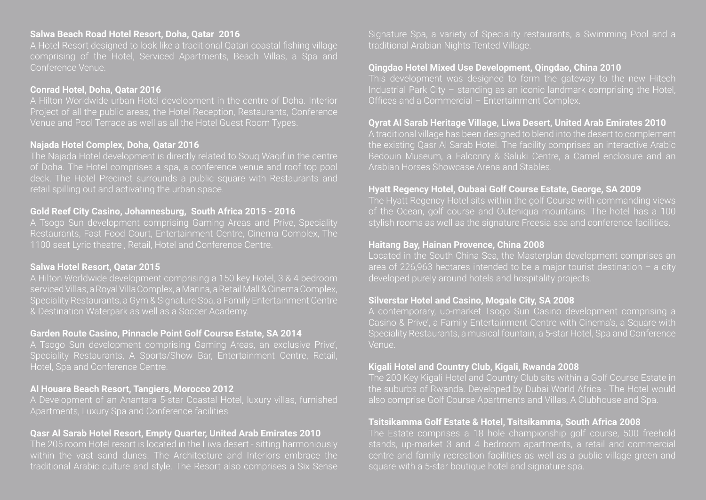#### **Salwa Beach Road Hotel Resort, Doha, Qatar 2016**

A Hotel Resort designed to look like a traditional Qatari coastal fishing village comprising of the Hotel, Serviced Apartments, Beach Villas, a Spa and Conference Venue.

#### **Conrad Hotel, Doha, Qatar 2016**

A Hilton Worldwide urban Hotel development in the centre of Doha. Interior Project of all the public areas, the Hotel Reception, Restaurants, Conference Venue and Pool Terrace as well as all the Hotel Guest Room Types.

#### **Najada Hotel Complex, Doha, Qatar 2016**

The Najada Hotel development is directly related to Souq Waqif in the centre deck. The Hotel Precinct surrounds a public square with Restaurants and retail spilling out and activating the urban space.

#### **Gold Reef City Casino, Johannesburg, South Africa 2015 - 2016**

A Tsogo Sun development comprising Gaming Areas and Prive, Speciality Restaurants, Fast Food Court, Entertainment Centre, Cinema Complex, The 1100 seat Lyric theatre , Retail, Hotel and Conference Centre.

#### **Salwa Hotel Resort, Qatar 2015**

A Hilton Worldwide development comprising a 150 key Hotel, 3 & 4 bedroom serviced Villas, a Royal Villa Complex, a Marina, a Retail Mall & Cinema Complex, Speciality Restaurants, a Gym & Signature Spa, a Family Entertainment Centre **& Destination Waterpark as well as a Soccer Academy.** 

#### **Garden Route Casino, Pinnacle Point Golf Course Estate, SA 2014**

A Tsogo Sun development comprising Gaming Areas, an exclusive Prive', Speciality Restaurants, A Sports/Show Bar, Entertainment Centre, Retail, Hotel, Spa and Conference Centre.

#### **Al Houara Beach Resort, Tangiers, Morocco 2012**

A Development of an Anantara 5-star Coastal Hotel, luxury villas, furnished Apartments, Luxury Spa and Conference facilities

#### **Qasr Al Sarab Hotel Resort, Empty Quarter, United Arab Emirates 2010**

The 205 room Hotel resort is located in the Liwa desert - sitting harmoniously within the vast sand dunes. The Architecture and Interiors embrace the traditional Arabic culture and style. The Resort also comprises a Six Sense Signature Spa, a variety of Speciality restaurants, a Swimming Pool and a traditional Arabian Nights Tented Village.

#### **Qingdao Hotel Mixed Use Development, Qingdao, China 2010**

This development was designed to form the gateway to the new Hitech Industrial Park City – standing as an iconic landmark comprising the Hotel, Offices and a Commercial – Entertainment Complex.

#### **Qyrat Al Sarab Heritage Village, Liwa Desert, United Arab Emirates 2010**

A traditional village has been designed to blend into the desert to complement the existing Qasr Al Sarab Hotel. The facility comprises an interactive Arabic Bedouin Museum, a Falconry & Saluki Centre, a Camel enclosure and an Arabian Horses Showcase Arena and Stables.

#### **Hyatt Regency Hotel, Oubaai Golf Course Estate, George, SA 2009**

The Hyatt Regency Hotel sits within the golf Course with commanding views of the Ocean, golf course and Outeniqua mountains. The hotel has a 100 stylish rooms as well as the signature Freesia spa and conference facilities.

#### **Haitang Bay, Hainan Provence, China 2008**

Located in the South China Sea, the Masterplan development comprises an area of 226,963 hectares intended to be a major tourist destination – a city developed purely around hotels and hospitality projects.

#### **Silverstar Hotel and Casino, Mogale City, SA 2008**

A contemporary, up-market Tsogo Sun Casino development comprising a Casino & Prive', a Family Entertainment Centre with Cinema's, a Square with Speciality Restaurants, a musical fountain, a 5-star Hotel, Spa and Conference Venue.

#### **Kigali Hotel and Country Club, Kigali, Rwanda 2008**

The 200 Key Kigali Hotel and Country Club sits within a Golf Course Estate in the suburbs of Rwanda. Developed by Dubai World Africa - The Hotel would also comprise Golf Course Apartments and Villas, A Clubhouse and Spa.

#### **Tsitsikamma Golf Estate & Hotel, Tsitsikamma, South Africa 2008**

The Estate comprises a 18 hole championship golf course, 500 freehold stands, up-market 3 and 4 bedroom apartments, a retail and commercial centre and family recreation facilities as well as a public village green and square with a 5-star boutique hotel and signature spa.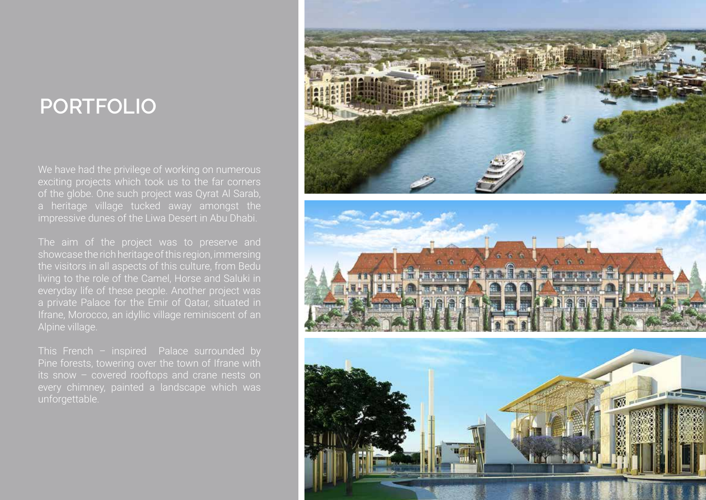### **PORTFOLIO**

We have had the privilege of working on numerous exciting projects which took us to the far corners of the globe. One such project was Qyrat Al Sarab, a heritage village tucked away amongst the impressive dunes of the Liwa Desert in Abu Dhabi.

showcase the rich heritage of this region, immersing the visitors in all aspects of this culture, from Bedu living to the role of the Camel, Horse and Saluki in everyday life of these people. Another project was a private Palace for the Emir of Qatar, situated in Ifrane, Morocco, an idyllic village reminiscent of an Alpine village.

This French – inspired Palace surrounded by its snow – covered rooftops and crane nests on every chimney, painted a landscape which was unforgettable.

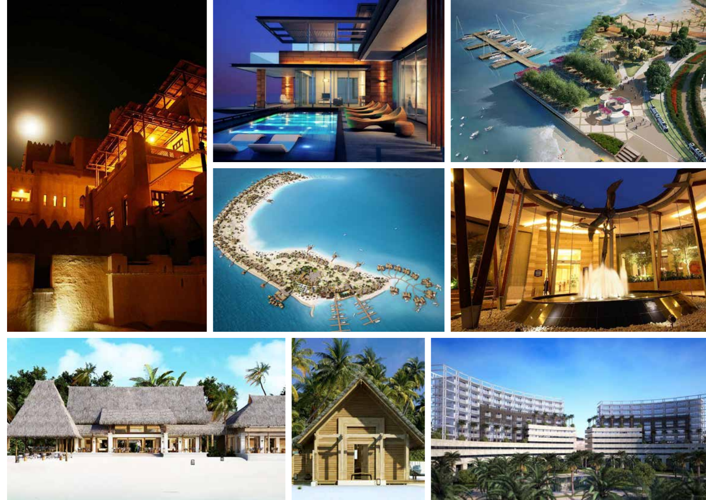













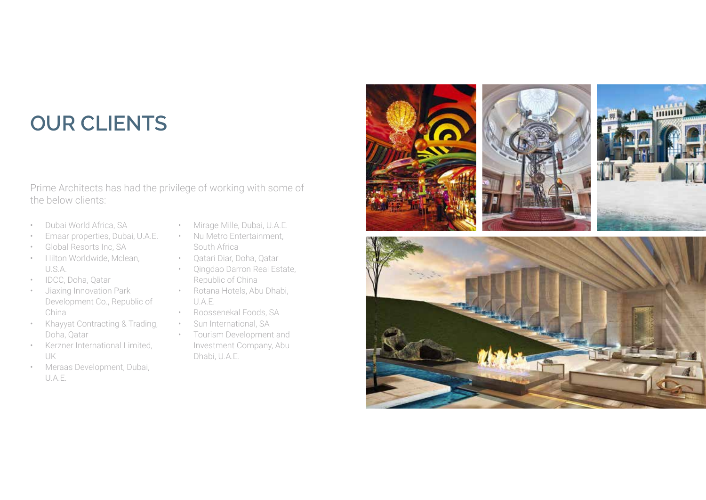# **OUR CLIENTS**

Prime Architects has had the privilege of working with some of the below clients:

- Dubai World Africa, SA
- Emaar properties, Dubai, U.A.E.
- Global Resorts Inc, SA
- Hilton Worldwide, Mclean, U.S.A.
- IDCC, Doha, Qatar
- Jiaxing Innovation Park Development Co., Republic of China
- Khayyat Contracting & Trading, Doha, Qatar
- Kerzner International Limited, UK
- Meraas Development, Dubai, U.A.E.
- Mirage Mille, Dubai, U.A.E.
- Nu Metro Entertainment, South Africa
- Qatari Diar, Doha, Qatar
- Qingdao Darron Real Estate, Republic of China
- Rotana Hotels, Abu Dhabi, U.A.E.
- Roossenekal Foods, SA
- Sun International, SA
- Tourism Development and Investment Company, Abu Dhabi, U.A.E.



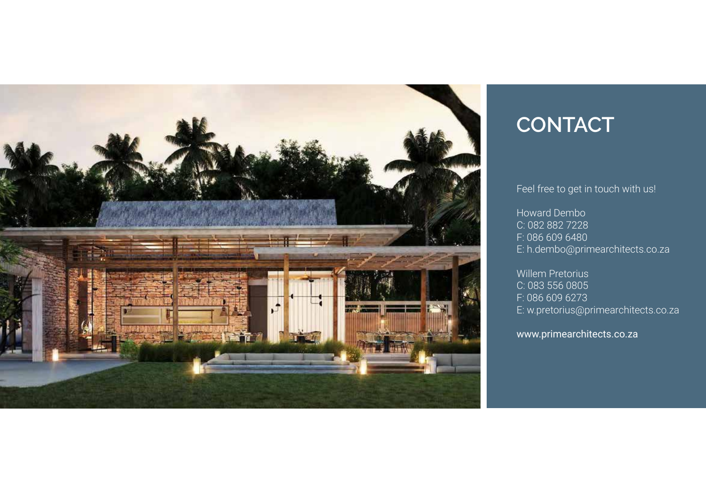

# **CONTACT**

Feel free to get in touch with us!

Howard Dembo C: 082 882 7228 F: 086 609 6480 E: h.dembo@primearchitects.co.za

Willem Pretorius C: 083 556 0805 F: 086 609 6273 E: w.pretorius@primearchitects.co.za

www.primearchitects.co.za